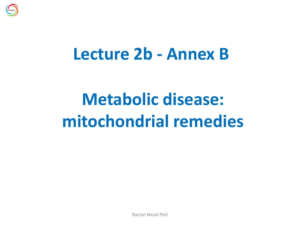

#### **Lecture 2b - Annex B**

# **Metabolic disease: mitochondrial remedies**

Rachel Nicoll PhD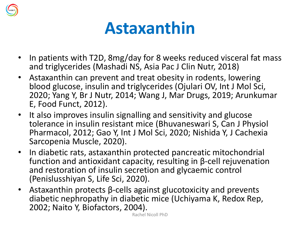

## **Astaxanthin**

- In patients with T2D, 8mg/day for 8 weeks reduced visceral fat mass and triglycerides (Mashadi NS, Asia Pac J Clin Nutr, 2018)
- Astaxanthin can prevent and treat obesity in rodents, lowering blood glucose, insulin and triglycerides (Ojulari OV, Int J Mol Sci, 2020; Yang Y, Br J Nutr, 2014; Wang J, Mar Drugs, 2019; Arunkumar E, Food Funct, 2012).
- It also improves insulin signalling and sensitivity and glucose tolerance in insulin resistant mice (Bhuvaneswari S, Can J Physiol Pharmacol, 2012; Gao Y, Int J Mol Sci, 2020; Nishida Y, J Cachexia Sarcopenia Muscle, 2020).
- In diabetic rats, astaxanthin protected pancreatic mitochondrial function and antioxidant capacity, resulting in β-cell rejuvenation and restoration of insulin secretion and glycaemic control (Penislusshiyan S, Life Sci, 2020).
- Astaxanthin protects β-cells against glucotoxicity and prevents diabetic nephropathy in diabetic mice (Uchiyama K, Redox Rep, 2002; Naito Y, Biofactors, 2004).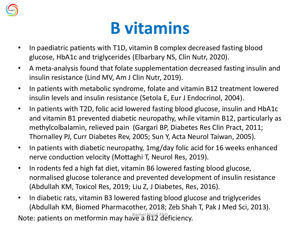

## **B vitamins**

- In paediatric patients with T1D, vitamin B complex decreased fasting blood glucose, HbA1c and triglycerides (Elbarbary NS, Clin Nutr, 2020).
- A meta-analysis found that folate supplementation decreased fasting insulin and insulin resistance (Lind MV, Am J Clin Nutr, 2019).
- In patients with metabolic syndrome, folate and vitamin B12 treatment lowered insulin levels and insulin resistance (Setola E, Eur J Endocrinol, 2004).
- In patients with T2D, folic acid lowered fasting blood glucose, insulin and HbA1c and vitamin B1 prevented diabetic neuropathy, while vitamin B12, particularly as methylcolbalamin, relieved pain (Gargari BP, Diabetes Res Clin Pract, 2011; Thornalley PJ, Curr Diabetes Rev, 2005; Sun Y, Acta Neurol Taiwan, 2005).
- In patients with diabetic neuropathy, 1mg/day folic acid for 16 weeks enhanced nerve conduction velocity (Mottaghi T, Neurol Res, 2019).
- In rodents fed a high fat diet, vitamin B6 lowered fasting blood glucose, normalised glucose tolerance and prevented development of insulin resistance (Abdullah KM, Toxicol Res, 2019; Liu Z, J Diabetes, Res, 2016).
- In diabetic rats, vitamin B3 lowered fasting blood glucose and triglycerides (Abdullah KM, Biomed Pharmacother, 2018; Zeb Shah T, Pak J Med Sci, 2013). Note: patients on metformin may have a B12 deficiency.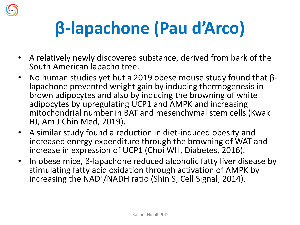

# **β-lapachone (Pau d'Arco)**

- A relatively newly discovered substance, derived from bark of the South American lapacho tree.
- No human studies yet but a 2019 obese mouse study found that  $\beta$ lapachone prevented weight gain by inducing thermogenesis in brown adipocytes and also by inducing the browning of white adipocytes by upregulating UCP1 and AMPK and increasing mitochondrial number in BAT and mesenchymal stem cells (Kwak HJ, Am J Chin Med, 2019).
- A similar study found a reduction in diet-induced obesity and increased energy expenditure through the browning of WAT and increase in expression of UCP1 (Choi WH, Diabetes, 2016).
- In obese mice, β-lapachone reduced alcoholic fatty liver disease by stimulating fatty acid oxidation through activation of AMPK by increasing the NAD<sup>+</sup> /NADH ratio (Shin S, Cell Signal, 2014).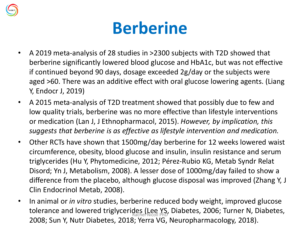

### **Berberine**

- A 2019 meta-analysis of 28 studies in >2300 subjects with T2D showed that berberine significantly lowered blood glucose and HbA1c, but was not effective if continued beyond 90 days, dosage exceeded 2g/day or the subjects were aged >60. There was an additive effect with oral glucose lowering agents. (Liang Y, Endocr J, 2019)
- A 2015 meta-analysis of T2D treatment showed that possibly due to few and low quality trials, berberine was no more effective than lifestyle interventions or medication (Lan J, J Ethnopharmacol, 2015). *However, by implication, this suggests that berberine is as effective as lifestyle intervention and medication.*
- Other RCTs have shown that 1500mg/day berberine for 12 weeks lowered waist circumference, obesity, blood glucose and insulin, insulin resistance and serum triglycerides (Hu Y, Phytomedicine, 2012; Pérez-Rubio KG, Metab Syndr Relat Disord; Yn J, Metabolism, 2008). A lesser dose of 1000mg/day failed to show a difference from the placebo, although glucose disposal was improved (Zhang Y, J Clin Endocrinol Metab, 2008).
- In animal or *in vitro* studies, berberine reduced body weight, improved glucose tolerance and lowered triglycerides (Lee YS, Diabetes, 2006; Turner N, Diabetes, 2008; Sun Y, Nutr Diabetes, 2018; Yerra VG, Neuropharmacology, 2018).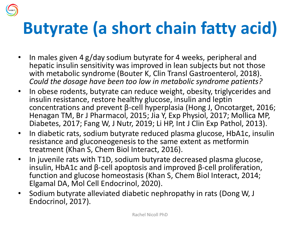## **Butyrate (a short chain fatty acid)**

- In males given 4 g/day sodium butyrate for 4 weeks, peripheral and hepatic insulin sensitivity was improved in lean subjects but not those with metabolic syndrome (Bouter K, Clin Transl Gastroenterol, 2018). *Could the dosage have been too low in metabolic syndrome patients?*
- In obese rodents, butyrate can reduce weight, obesity, triglycerides and insulin resistance, restore healthy glucose, insulin and leptin concentrations and prevent β-cell hyperplasia (Hong J, Oncotarget, 2016; Henagan TM, Br J Pharmacol, 2015; Jia Y, Exp Physiol, 2017; Mollica MP, Diabetes, 2017; Fang W, J Nutr, 2019; Li HP, Int J Clin Exp Pathol, 2013).
- In diabetic rats, sodium butyrate reduced plasma glucose, HbA1c, insulin resistance and gluconeogenesis to the same extent as metformin treatment (Khan S, Chem Biol Interact, 2016).
- In juvenile rats with T1D, sodium butyrate decreased plasma glucose, insulin, HbA1c and β-cell apoptosis and improved β-cell proliferation, function and glucose homeostasis (Khan S, Chem Biol Interact, 2014; Elgamal DA, Mol Cell Endocrinol, 2020).
- Sodium butyrate alleviated diabetic nephropathy in rats (Dong W, J Endocrinol, 2017).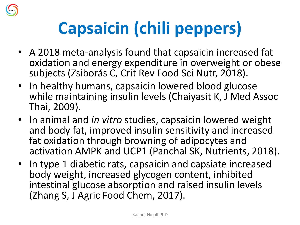

# **Capsaicin (chili peppers)**

- A 2018 meta-analysis found that capsaicin increased fat oxidation and energy expenditure in overweight or obese subjects (Zsiborás C, Crit Rev Food Sci Nutr, 2018).
- In healthy humans, capsaicin lowered blood glucose while maintaining insulin levels (Chaiyasit K, J Med Assoc Thai, 2009).
- In animal and *in vitro* studies, capsaicin lowered weight and body fat, improved insulin sensitivity and increased fat oxidation through browning of adipocytes and activation AMPK and UCP1 (Panchal SK, Nutrients, 2018).
- In type 1 diabetic rats, capsaicin and capsiate increased body weight, increased glycogen content, inhibited intestinal glucose absorption and raised insulin levels (Zhang S, J Agric Food Chem, 2017).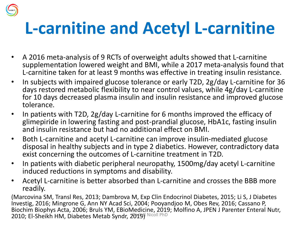## **L-carnitine and Acetyl L-carnitine**

- A 2016 meta-analysis of 9 RCTs of overweight adults showed that L-carnitine supplementation lowered weight and BMI, while a 2017 meta-analysis found that L-carnitine taken for at least 9 months was effective in treating insulin resistance.
- In subjects with impaired glucose tolerance or early T2D, 2g/day L-carnitine for 36 days restored metabolic flexibility to near control values, while 4g/day L-carnitine for 10 days decreased plasma insulin and insulin resistance and improved glucose tolerance.
- In patients with T2D, 2g/day L-carnitine for 6 months improved the efficacy of glimepiride in lowering fasting and post-prandial glucose, HbA1c, fasting insulin and insulin resistance but had no additional effect on BMI.
- Both L-carnitine and acetyl L-carnitine can improve insulin-mediated glucose disposal in healthy subjects and in type 2 diabetics. However, contradictory data exist concerning the outcomes of L-carnitine treatment in T2D.
- In patients with diabetic peripheral neuropathy, 1500mg/day acetyl L-carnitine induced reductions in symptoms and disability.
- Acetyl L-carnitine is better absorbed than L-carnitine and crosses the BBB more readily.

(Marcovina SM, Transl Res, 2013; Dambrova M, Exp Clin Endocrinol Diabetes, 2015; Li S, J Diabetes Investig, 2016; Mingrone G, Ann NY Acad Sci, 2004; Pooyandjoo M, Obes Rev, 2016; Cassano P, Biochim Biophys Acta, 2006; Bruls YM, EBioMedicine, 2019; Molfino A, JPEN J Parenter Enteral Nutr, 2010; El-Sheikh HM, Diabetes Metab Syndr, 2019) Nicoll PhD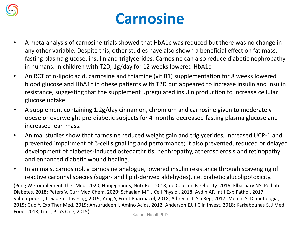

#### **Carnosine**

- A meta-analysis of carnosine trials showed that HbA1c was reduced but there was no change in any other variable. Despite this, other studies have also shown a beneficial effect on fat mass, fasting plasma glucose, insulin and triglycerides. Carnosine can also reduce diabetic nephropathy in humans. In children with T2D, 1g/day for 12 weeks lowered HbA1c.
- An RCT of  $\alpha$ -lipoic acid, carnosine and thiamine (vit B1) supplementation for 8 weeks lowered blood glucose and HbA1c in obese patients with T2D but appeared to increase insulin and insulin resistance, suggesting that the supplement upregulated insulin production to increase cellular glucose uptake.
- A supplement containing 1.2g/day cinnamon, chromium and carnosine given to moderately obese or overweight pre-diabetic subjects for 4 months decreased fasting plasma glucose and increased lean mass.
- Animal studies show that carnosine reduced weight gain and triglycerides, increased UCP-1 and prevented impairment of β-cell signalling and performance; it also prevented, reduced or delayed development of diabetes-induced osteoarthritis, nephropathy, atherosclerosis and retinopathy and enhanced diabetic wound healing.
- In animals, carnosinol, a carnosine analogue, lowered insulin resistance through scavenging of reactive carbonyl species (sugar- and lipid-derived aldehydes), i.e. diabetic glucolipotoxicity.

(Peng W, Complement Ther Med, 2020; Houjeghani S, Nutr Res, 2018; de Courten B, Obesity, 2016; Elbarbary NS, Pediatr Diabetes, 2018; Peters V, Curr Med Chem, 2020; Schaalan MF, J Cell Physiol, 2018; Aydın AF, Int J Exp Pathol, 2017; Vahdatpour T, J Diabetes Investig, 2019; Yang Y, Front Pharmacol, 2018; Albrecht T, Sci Rep, 2017; Menini S, Diabetologia, 2015; Guo Y, Exp Ther Med, 2019; Ansurudeen I, Amino Acids, 2012; Anderson EJ, J Clin Invest, 2018; Karkabounas S, J Med Food, 2018; Liu T, PLoS One, 2015)<br>Rachel Nicoll PhD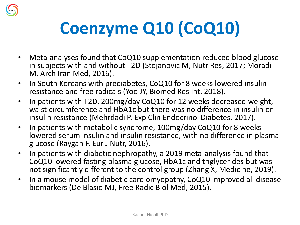

# **Coenzyme Q10 (CoQ10)**

- Meta-analyses found that CoQ10 supplementation reduced blood glucose in subjects with and without T2D (Stojanovic M, Nutr Res, 2017; Moradi M, Arch Iran Med, 2016).
- In South Koreans with prediabetes, CoQ10 for 8 weeks lowered insulin resistance and free radicals (Yoo JY, Biomed Res Int, 2018).
- In patients with T2D, 200mg/day CoQ10 for 12 weeks decreased weight, waist circumference and HbA1c but there was no difference in insulin or insulin resistance (Mehrdadi P, Exp Clin Endocrinol Diabetes, 2017).
- In patients with metabolic syndrome, 100mg/day CoQ10 for 8 weeks lowered serum insulin and insulin resistance, with no difference in plasma glucose (Raygan F, Eur J Nutr, 2016).
- In patients with diabetic nephropathy, a 2019 meta-analysis found that CoQ10 lowered fasting plasma glucose, HbA1c and triglycerides but was not significantly different to the control group (Zhang X, Medicine, 2019).
- In a mouse model of diabetic cardiomyopathy, CoQ10 improved all disease biomarkers (De Blasio MJ, Free Radic Biol Med, 2015).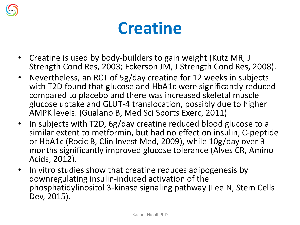

### **Creatine**

- Creatine is used by body-builders to gain weight (Kutz MR, J Strength Cond Res, 2003; Eckerson JM, J Strength Cond Res, 2008).
- Nevertheless, an RCT of 5g/day creatine for 12 weeks in subjects with T2D found that glucose and HbA1c were significantly reduced compared to placebo and there was increased skeletal muscle glucose uptake and GLUT-4 translocation, possibly due to higher AMPK levels. (Gualano B, Med Sci Sports Exerc, 2011)
- In subjects with T2D, 6g/day creatine reduced blood glucose to a similar extent to metformin, but had no effect on insulin, C-peptide or HbA1c (Rocic B, Clin Invest Med, 2009), while 10g/day over 3 months significantly improved glucose tolerance (Alves CR, Amino Acids, 2012).
- In vitro studies show that creatine reduces adipogenesis by downregulating insulin-induced activation of the phosphatidylinositol 3-kinase signaling pathway (Lee N, Stem Cells Dev, 2015).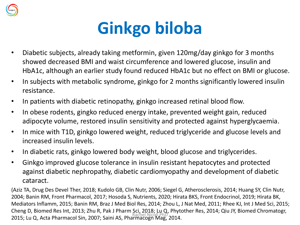

## **Ginkgo biloba**

- Diabetic subjects, already taking metformin, given 120mg/day ginkgo for 3 months showed decreased BMI and waist circumference and lowered glucose, insulin and HbA1c, although an earlier study found reduced HbA1c but no effect on BMI or glucose.
- In subjects with metabolic syndrome, ginkgo for 2 months significantly lowered insulin resistance.
- In patients with diabetic retinopathy, ginkgo increased retinal blood flow.
- In obese rodents, gingko reduced energy intake, prevented weight gain, reduced adipocyte volume, restored insulin sensitivity and protected against hyperglycaemia.
- In mice with T1D, ginkgo lowered weight, reduced triglyceride and glucose levels and increased insulin levels.
- In diabetic rats, ginkgo lowered body weight, blood glucose and triglycerides.
- Ginkgo improved glucose tolerance in insulin resistant hepatocytes and protected against diabetic nephropathy, diabetic cardiomyopathy and development of diabetic cataract.

(Aziz TA, Drug Des Devel Ther, 2018; Kudolo GB, Clin Nutr, 2006; Siegel G, Atherosclerosis, 2014; Huang SY, Clin Nutr, 2004; Banin RM, Front Pharmacol, 2017; Hosoda S, Nutrients, 2020; Hirata BKS, Front Endocrinol, 2019; Hirata BK, Mediators Inflamm, 2015; Banin RM, Braz J Med Biol Res, 2014; Zhou L, J Nat Med, 2011; Rhee KJ, Int J Med Sci, 2015; Cheng D, Biomed Res Int, 2013; Zhu R, Pak J Pharm Sci, 2018; Lu Q, Phytother Res, 2014; Qiu JY, Biomed Chromatogr, 2015; Lu Q, Acta Pharmacol Sin, 2007; Saini AS, Pharmacogn Mag, 2014.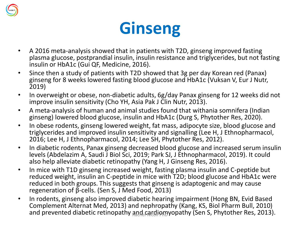

## **Ginseng**

- A 2016 meta-analysis showed that in patients with T2D, ginseng improved fasting plasma glucose, postprandial insulin, insulin resistance and triglycerides, but not fasting insulin or HbA1c (Gui QF, Medicine, 2016).
- Since then a study of patients with T2D showed that 3g per day Korean red (Panax) ginseng for 8 weeks lowered fasting blood glucose and HbA1c (Vuksan V, Eur J Nutr, 2019)
- In overweight or obese, non-diabetic adults, 6g/day Panax ginseng for 12 weeks did not improve insulin sensitivity (Cho YH, Asia Pak J Clin Nutr, 2013).
- A meta-analysis of human and animal studies found that withania somnifera (Indian ginseng) lowered blood glucose, insulin and HbA1c (Durg S, Phytother Res, 2020).
- In obese rodents, ginseng lowered weight, fat mass, adipocyte size, blood glucose and triglycerides and improved insulin sensitivity and signalling (Lee H, J Ethnopharmacol, 2016; Lee H, J Ethnopharmacol, 2014; Lee SH, Phytother Res, 2012).
- In diabetic rodents, Panax ginseng decreased blood glucose and increased serum insulin levels (Abdelazim A, Saudi J Biol Sci, 2019; Park SJ, J Ethnopharmacol, 2019). It could also help alleviate diabetic retinopathy (Yang H, J Ginseng Res, 2016).
- In mice with T1D ginseng increased weight, fasting plasma insulin and C-peptide but reduced weight, insulin an C-peptide in mice with T2D; blood glucose and HbA1c were reduced in both groups. This suggests that ginseng is adaptogenic and may cause regeneration of β-cells. (Sen S, J Med Food, 2013)
- In rodents, ginseng also improved diabetic hearing impairment (Hong BN, Evid Based Complement Alternat Med, 2013) and nephropathy (Kang, KS, Biol Pharm Bull, 2010) and prevented diabetic retinopathy and cardiomyopathy (Sen S, Phytother Res, 2013).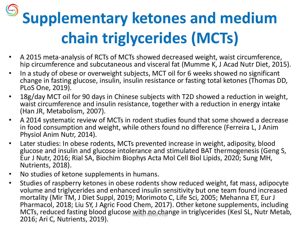# **Supplementary ketones and medium chain triglycerides (MCTs)**

- A 2015 meta-analysis of RCTs of MCTs showed decreased weight, waist circumference, hip circumference and subcutaneous and visceral fat (Mumme K, J Acad Nutr Diet, 2015).
- In a study of obese or overweight subjects, MCT oil for 6 weeks showed no significant change in fasting glucose, insulin, insulin resistance or fasting total ketones (Thomas DD, PLoS One, 2019).
- 18g/day MCT oil for 90 days in Chinese subjects with T2D showed a reduction in weight, waist circumference and insulin resistance, together with a reduction in energy intake (Han JR, Metabolism, 2007).
- A 2014 systematic review of MCTs in rodent studies found that some showed a decrease in food consumption and weight, while others found no difference (Ferreira L, J Anim Physiol Anim Nutr, 2014).
- Later studies: In obese rodents, MCTs prevented increase in weight, adiposity, blood glucose and insulin and glucose intolerance and stimulated BAT thermogenesis (Geng S, Eur J Nutr, 2016; Rial SA, Biochim Biophys Acta Mol Cell Biol Lipids, 2020; Sung MH, Nutrients, 2018).
- No studies of ketone supplements in humans.
- Studies of raspberry ketones in obese rodents show reduced weight, fat mass, adipocyte volume and triglycerides and enhanced insulin sensitivity but one team found increased mortality (Mir TM, J Diet Suppl, 2019; Morimoto C, Life Sci, 2005; Mehanna ET, Eur J Pharmacol, 2018; Liu SY, J Agric Food Chem, 2017). Other ketone supplements, including MCTs, reduced fasting blood glucose with no change in triglycerides (Kesl SL, Nutr Metab, 2016; Ari C, Nutrients, 2019).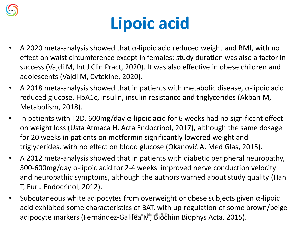

## **Lipoic acid**

- A 2020 meta-analysis showed that  $α$ -lipoic acid reduced weight and BMI, with no effect on waist circumference except in females; study duration was also a factor in success (Vajdi M, Int J Clin Pract, 2020). It was also effective in obese children and adolescents (Vajdi M, Cytokine, 2020).
- A 2018 meta-analysis showed that in patients with metabolic disease,  $\alpha$ -lipoic acid reduced glucose, HbA1c, insulin, insulin resistance and triglycerides (Akbari M, Metabolism, 2018).
- In patients with T2D, 600mg/day α-lipoic acid for 6 weeks had no significant effect on weight loss (Usta Atmaca H, Acta Endocrinol, 2017), although the same dosage for 20 weeks in patients on metformin significantly lowered weight and triglycerides, with no effect on blood glucose (Okanović A, Med Glas, 2015).
- A 2012 meta-analysis showed that in patients with diabetic peripheral neuropathy, 300-600mg/day α-lipoic acid for 2-4 weeks improved nerve conduction velocity and neuropathic symptoms, although the authors warned about study quality (Han T, Eur J Endocrinol, 2012).
- Subcutaneous white adipocytes from overweight or obese subjects given  $\alpha$ -lipoic acid exhibited some characteristics of BAT, with up-regulation of some brown/beige adipocyte markers (Fernández-Galilea M, Biochim Biophys Acta, 2015).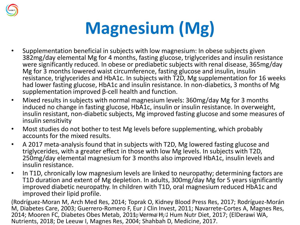

## **Magnesium (Mg)**

- Supplementation beneficial in subjects with low magnesium: In obese subjects given 382mg/day elemental Mg for 4 months, fasting glucose, triglycerides and insulin resistance were significantly reduced. In obese or prediabetic subjects with renal disease, 365mg/day Mg for 3 months lowered waist circumference, fasting glucose and insulin, insulin resistance, triglycerides and HbA1c. In subjects with T2D, Mg supplementation for 16 weeks had lower fasting glucose, HbA1c and insulin resistance. In non-diabetics, 3 months of Mg supplementation improved β-cell health and function.
- Mixed results in subjects with normal magnesium levels: 360mg/day Mg for 3 months induced no change in fasting glucose, HbA1c, insulin or insulin resistance. In overweight, insulin resistant, non-diabetic subjects, Mg improved fasting glucose and some measures of insulin sensitivity
- Most studies do not bother to test Mg levels before supplementing, which probably accounts for the mixed results.
- A 2017 meta-analysis found that in subjects with T2D, Mg lowered fasting glucose and triglycerides, with a greater effect in those with low Mg levels. In subjects with T2D, 250mg/day elemental magnesium for 3 months also improved HbA1c, insulin levels and insulin resistance.
- In T1D, chronically low magnesium levels are linked to neuropathy; determining factors are T1D duration and extent of Mg depletion. In adults, 300mg/day Mg for 5 years significantly improved diabetic neuropathy. In children with T1D, oral magnesium reduced HbA1c and improved their lipid profile.

(Rodríguez-Moran M, Arch Med Res, 2014; Toprak O, Kidney Blood Press Res, 2017; Rodríguez-Morán M, Diabetes Care, 2003; Guerrero-Romero F, Eur J Clin Invest, 2011; Navarrete-Cortes A, Magnes Res, 2014; Mooren FC, Diabetes Obes Metab, 2011sclermal H<sub>J</sub>J Hum Nutr Diet, 2017; (ElDerawi WA, Nutrients, 2018; De Leeuw I, Magnes Res, 2004; Shahbah D, Medicine, 2017.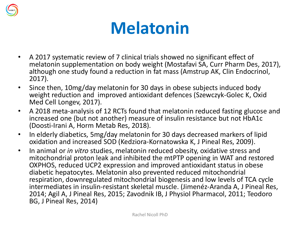

## **Melatonin**

- A 2017 systematic review of 7 clinical trials showed no significant effect of melatonin supplementation on body weight (Mostafavi SA, Curr Pharm Des, 2017), although one study found a reduction in fat mass (Amstrup AK, Clin Endocrinol, 2017).
- Since then, 10mg/day melatonin for 30 days in obese subjects induced body weight reduction and improved antioxidant defences (Szewczyk-Golec K, Oxid Med Cell Longev, 2017).
- A 2018 meta-analysis of 12 RCTs found that melatonin reduced fasting glucose and increased one (but not another) measure of insulin resistance but not HbA1c (Doosti-Irani A, Horm Metab Res, 2018).
- In elderly diabetics, 5mg/day melatonin for 30 days decreased markers of lipid oxidation and increased SOD (Kedziora-Kornatowska K, J Pineal Res, 2009).
- In animal or *in vitro* studies, melatonin reduced obesity, oxidative stress and mitochondrial proton leak and inhibited the mtPTP opening in WAT and restored OXPHOS, reduced UCP2 expression and improved antioxidant status in obese diabetic hepatocytes. Melatonin also prevented reduced mitochondrial respiration, downregulated mitochondrial biogenesis and low levels of TCA cycle intermediates in insulin-resistant skeletal muscle. (Jimenéz-Aranda A, J Pineal Res, 2014; Agil A, J Pineal Res, 2015; Zavodnik IB, J Physiol Pharmacol, 2011; Teodoro BG, J Pineal Res, 2014)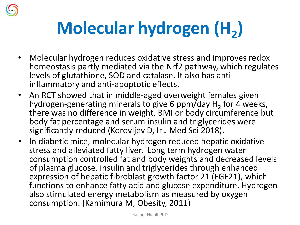

# Molecular hydrogen (H<sub>2</sub>)

- Molecular hydrogen reduces oxidative stress and improves redox homeostasis partly mediated via the Nrf2 pathway, which regulates levels of glutathione, SOD and catalase. It also has antiinflammatory and anti-apoptotic effects.
- An RCT showed that in middle-aged overweight females given hydrogen-generating minerals to give 6 ppm/day  $H_2$  for 4 weeks, there was no difference in weight, BMI or body circumference but body fat percentage and serum insulin and triglycerides were significantly reduced (Korovljev D, Ir J Med Sci 2018).
- In diabetic mice, molecular hydrogen reduced hepatic oxidative stress and alleviated fatty liver. Long term hydrogen water consumption controlled fat and body weights and decreased levels of plasma glucose, insulin and triglycerides through enhanced expression of hepatic fibroblast growth factor 21 (FGF21), which functions to enhance fatty acid and glucose expenditure. Hydrogen also stimulated energy metabolism as measured by oxygen consumption. (Kamimura M, Obesity, 2011)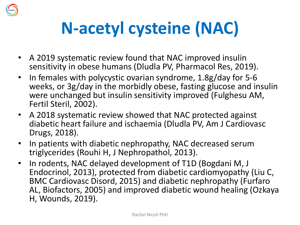

# **N-acetyl cysteine (NAC)**

- A 2019 systematic review found that NAC improved insulin sensitivity in obese humans (Dludla PV, Pharmacol Res, 2019).
- In females with polycystic ovarian syndrome, 1.8g/day for 5-6 weeks, or 3g/day in the morbidly obese, fasting glucose and insulin were unchanged but insulin sensitivity improved (Fulghesu AM, Fertil Steril, 2002).
- A 2018 systematic review showed that NAC protected against diabetic heart failure and ischaemia (Dludla PV, Am J Cardiovasc Drugs, 2018).
- In patients with diabetic nephropathy, NAC decreased serum triglycerides (Rouhi H, J Nephropathol, 2013).
- In rodents, NAC delayed development of T1D (Bogdani M, J Endocrinol, 2013), protected from diabetic cardiomyopathy (Liu C, BMC Cardiovasc Disord, 2015) and diabetic nephropathy (Furfaro AL, Biofactors, 2005) and improved diabetic wound healing (Ozkaya H, Wounds, 2019).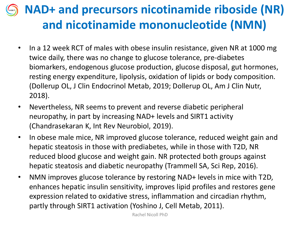#### **NAD+ and precursors nicotinamide riboside (NR) and nicotinamide mononucleotide (NMN)**

- In a 12 week RCT of males with obese insulin resistance, given NR at 1000 mg twice daily, there was no change to glucose tolerance, pre-diabetes biomarkers, endogenous glucose production, glucose disposal, gut hormones, resting energy expenditure, lipolysis, oxidation of lipids or body composition. (Dollerup OL, J Clin Endocrinol Metab, 2019; Dollerup OL, Am J Clin Nutr, 2018).
- Nevertheless, NR seems to prevent and reverse diabetic peripheral neuropathy, in part by increasing NAD+ levels and SIRT1 activity (Chandrasekaran K, Int Rev Neurobiol, 2019).
- In obese male mice, NR improved glucose tolerance, reduced weight gain and hepatic steatosis in those with prediabetes, while in those with T2D, NR reduced blood glucose and weight gain. NR protected both groups against hepatic steatosis and diabetic neuropathy (Trammell SA, Sci Rep, 2016).
- NMN improves glucose tolerance by restoring NAD+ levels in mice with T2D, enhances hepatic insulin sensitivity, improves lipid profiles and restores gene expression related to oxidative stress, inflammation and circadian rhythm, partly through SIRT1 activation (Yoshino J, Cell Metab, 2011).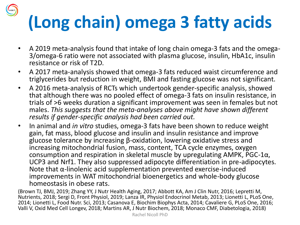# **(Long chain) omega 3 fatty acids**

- A 2019 meta-analysis found that intake of long chain omega-3 fats and the omega-3/omega-6 ratio were not associated with plasma glucose, insulin, HbA1c, insulin resistance or risk of T2D.
- A 2017 meta-analysis showed that omega-3 fats reduced waist circumference and triglycerides but reduction in weight, BMI and fasting glucose was not significant.
- A 2016 meta-analysis of RCTs which undertook gender-specific analysis, showed that although there was no pooled effect of omega-3 fats on insulin resistance, in trials of >6 weeks duration a significant improvement was seen in females but not males. *This suggests that the meta-analyses above might have shown different results if gender-specific analysis had been carried out.*
- In animal and *in vitro* studies, omega-3 fats have been shown to reduce weight gain, fat mass, blood glucose and insulin and insulin resistance and improve glucose tolerance by increasing β-oxidation, lowering oxidative stress and increasing mitochondrial fusion, mass, content, TCA cycle enzymes, oxygen consumption and respiration in skeletal muscle by upregulating AMPK, PGC-1 $\alpha$ , UCP3 and Nrf1. They also suppressed adipocyte differentiation in pre-adipocytes. Note that  $\alpha$ -linolenic acid supplementation prevented exercise-induced improvements in WAT mitochondrial bioenergetics and whole-body glucose homeostasis in obese rats.

(Brown TJ, BMJ, 2019; Zhang YY, J Nutr Health Aging, 2017; Abbott KA, Am J Clin Nutr, 2016; Lepretti M, Nutrients, 2018; Sergi D, Front Physiol, 2019; Lanza IR, Physiol Endocrinol Metab, 2013; Lionetti L, PLoS One, 2014; Lionetti L, Food Nutr. Sci, 2013; Casanova E, Biochim Biophys Acta, 2014; Cavaliere G, PLoS One, 2016; Valli V, Oxid Med Cell Longev, 2018; Martins AR, J Nutr Biochem, 2018; Monaco CMF, Diabetologia, 2018)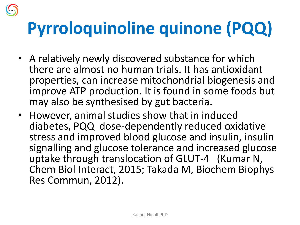## **Pyrroloquinoline quinone (PQQ)**

- A relatively newly discovered substance for which there are almost no human trials. It has antioxidant properties, can increase mitochondrial biogenesis and improve ATP production. It is found in some foods but may also be synthesised by gut bacteria.
- However, animal studies show that in induced diabetes, PQQ dose-dependently reduced oxidative stress and improved blood glucose and insulin, insulin signalling and glucose tolerance and increased glucose uptake through translocation of GLUT-4 (Kumar N, Chem Biol Interact, 2015; Takada M, Biochem Biophys Res Commun, 2012).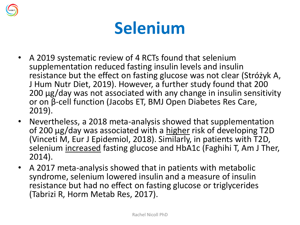

## **Selenium**

- A 2019 systematic review of 4 RCTs found that selenium supplementation reduced fasting insulin levels and insulin resistance but the effect on fasting glucose was not clear (Stróżyk A, J Hum Nutr Diet, 2019). However, a further study found that 200 200 µg/day was not associated with any change in insulin sensitivity or on β-cell function (Jacobs ET, BMJ Open Diabetes Res Care, 2019).
- Nevertheless, a 2018 meta-analysis showed that supplementation of 200 µg/day was associated with a higher risk of developing T2D (Vinceti M, Eur J Epidemiol, 2018). Similarly, in patients with T2D, selenium increased fasting glucose and HbA1c (Faghihi T, Am J Ther, 2014).
- A 2017 meta-analysis showed that in patients with metabolic syndrome, selenium lowered insulin and a measure of insulin resistance but had no effect on fasting glucose or triglycerides (Tabrizi R, Horm Metab Res, 2017).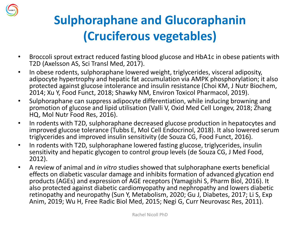

#### **Sulphoraphane and Glucoraphanin (Cruciferous vegetables)**

- Broccoli sprout extract reduced fasting blood glucose and HbA1c in obese patients with T2D (Axelsson AS, Sci Transl Med, 2017).
- In obese rodents, sulphoraphane lowered weight, triglycerides, visceral adiposity, adipocyte hypertrophy and hepatic fat accumulation via AMPK phosphorylation; it also protected against glucose intolerance and insulin resistance (Choi KM, J Nutr Biochem, 2014; Xu Y, Food Funct, 2018; Shawky NM, Environ Toxicol Pharmacol, 2019).
- Sulphoraphane can suppress adipocyte differentiation, while inducing browning and promotion of glucose and lipid utilisation (Valli V, Oxid Med Cell Longev, 2018; Zhang HQ, Mol Nutr Food Res, 2016).
- In rodents with T2D, sulphoraphane decreased glucose production in hepatocytes and improved glucose tolerance (Tubbs E, Mol Cell Endocrinol, 2018). It also lowered serum triglycerides and improved insulin sensitivity (de Souza CG, Food Funct, 2016).
- In rodents with T2D, sulphoraphane lowered fasting glucose, triglycerides, insulin sensitivity and hepatic glycogen to control group levels (de Souza CG, J Med Food, 2012).
- A review of animal and *in vitro* studies showed that sulphoraphane exerts beneficial effects on diabetic vascular damage and inhibits formation of advanced glycation end products (AGEs) and expression of AGE receptors (Yamagishi S, Pharm Biol, 2016). It also protected against diabetic cardiomyopathy and nephropathy and lowers diabetic retinopathy and neuropathy (Sun Y, Metabolism, 2020; Gu J, Diabetes, 2017; Li S, Exp Anim, 2019; Wu H, Free Radic Biol Med, 2015; Negi G, Curr Neurovasc Res, 2011).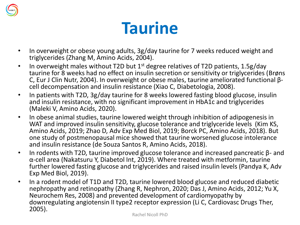

#### **Taurine**

- In overweight or obese young adults, 3g/day taurine for 7 weeks reduced weight and triglycerides (Zhang M, Amino Acids, 2004).
- In overweight males without T2D but  $1<sup>st</sup>$  degree relatives of T2D patients, 1.5g/day taurine for 8 weeks had no effect on insulin secretion or sensitivity or triglycerides (Brøns C, Eur J Clin Nutr, 2004). In overweight or obese males, taurine ameliorated functional βcell decompensation and insulin resistance (Xiao C, Diabetologia, 2008).
- In patients with T2D, 3g/day taurine for 8 weeks lowered fasting blood glucose, insulin and insulin resistance, with no significant improvement in HbA1c and triglycerides (Maleki V, Amino Acids, 2020).
- In obese animal studies, taurine lowered weight through inhibition of adipogenesis in WAT and improved insulin sensitivity, glucose tolerance and triglyceride levels (Kim KS, Amino Acids, 2019; Zhao D, Adv Exp Med Biol, 2019; Borck PC, Amino Acids, 2018). But one study of postmenopausal mice showed that taurine worsened glucose intolerance and insulin resistance (de Souza Santos R, Amino Acids, 2018).
- In rodents with T2D, taurine improved glucose tolerance and increased pancreatic β- and α-cell area (Nakatsuru Y, Diabetol Int, 2019). Where treated with metformin, taurine further lowered fasting glucose and triglycerides and raised insulin levels (Pandya K, Adv Exp Med Biol, 2019).
- In a rodent model of T1D and T2D, taurine lowered blood glucose and reduced diabetic nephropathy and retinopathy (Zhang R, Nephron, 2020; Das J, Amino Acids, 2012; Yu X, Neurochem Res, 2008) and prevented development of cardiomyopathy by downregulating angiotensin II type2 receptor expression (Li C, Cardiovasc Drugs Ther, 2005).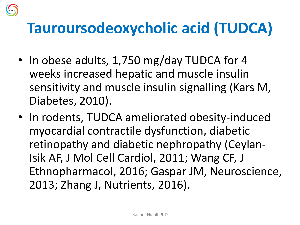#### **Tauroursodeoxycholic acid (TUDCA)**

- In obese adults, 1,750 mg/day TUDCA for 4 weeks increased hepatic and muscle insulin sensitivity and muscle insulin signalling (Kars M, Diabetes, 2010).
- In rodents, TUDCA ameliorated obesity-induced myocardial contractile dysfunction, diabetic retinopathy and diabetic nephropathy (Ceylan-Isik AF, J Mol Cell Cardiol, 2011; Wang CF, J Ethnopharmacol, 2016; Gaspar JM, Neuroscience, 2013; Zhang J, Nutrients, 2016).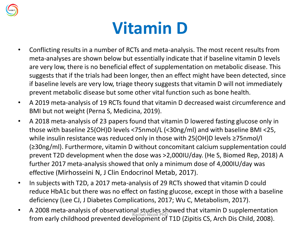

## **Vitamin D**

- Conflicting results in a number of RCTs and meta-analysis. The most recent results from meta-analyses are shown below but essentially indicate that if baseline vitamin D levels are very low, there is no beneficial effect of supplementation on metabolic disease. This suggests that if the trials had been longer, then an effect might have been detected, since if baseline levels are very low, triage theory suggests that vitamin D will not immediately prevent metabolic disease but some other vital function such as bone health.
- A 2019 meta-analysis of 19 RCTs found that vitamin D decreased waist circumference and BMI but not weight (Perna S, Medicina, 2019).
- A 2018 meta-analysis of 23 papers found that vitamin D lowered fasting glucose only in those with baseline 25(OH)D levels <75nmol/L (<30ng/ml) and with baseline BMI <25, while insulin resistance was reduced only in those with 25(OH)D levels ≥75nmol/l (≥30ng/ml). Furthermore, vitamin D without concomitant calcium supplementation could prevent T2D development when the dose was >2,000IU/day. (He S, Biomed Rep, 2018) A further 2017 meta-analysis showed that only a minimum dose of 4,000IU/day was effective (Mirhosseini N, J Clin Endocrinol Metab, 2017).
- In subjects with T2D, a 2017 meta-analysis of 29 RCTs showed that vitamin D could reduce HbA1c but there was no effect on fasting glucose, except in those with a baseline deficiency (Lee CJ, J Diabetes Complications, 2017; Wu C, Metabolism, 2017).
- A 2008 meta-analysis of observational studies showed that vitamin D supplementation from early childhood prevented development of T1D (Zipitis CS, Arch Dis Child, 2008).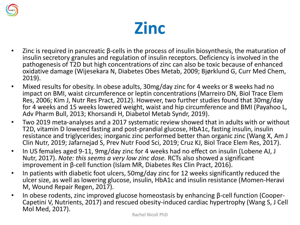

#### **Zinc**

- Zinc is required in pancreatic β-cells in the process of insulin biosynthesis, the maturation of insulin secretory granules and regulation of insulin receptors. Deficiency is involved in the pathogenesis of T2D but high concentrations of zinc can also be toxic because of enhanced oxidative damage (Wijesekara N, Diabetes Obes Metab, 2009; Bjørklund G, Curr Med Chem, 2019).
- Mixed results for obesity. In obese adults, 30mg/day zinc for 4 weeks or 8 weeks had no impact on BMI, waist circumference or leptin concentrations (Marreiro DN, Biol Trace Elem Res, 2006; Kim J, Nutr Res Pract, 2012). However, two further studies found that 30mg/day for 4 weeks and 15 weeks lowered weight, waist and hip circumference and BMI (Payahoo L, Adv Pharm Bull, 2013; Khorsandi H, Diabetol Metab Syndr, 2019).
- Two 2019 meta-analyses and a 2017 systematic review showed that in adults with or without T2D, vitamin D lowered fasting and post-prandial glucose, HbA1c, fasting insulin, insulin resistance and triglycerides; inorganic zinc performed better than organic zinc (Wang X, Am J Clin Nutr, 2019; Jafarnejad S, Prev Nutr Food Sci, 2019; Cruz KJ, Biol Trace Elem Res, 2017).
- In US females aged 9-11, 9mg/day zinc for 4 weeks had no effect on insulin (Lobene AJ, J Nutr, 2017). *Note: this seems a very low zinc dose.* RCTs also showed a significant improvement in β-cell function (Islam MR, Diabetes Res Clin Pract, 2016).
- In patients with diabetic foot ulcers, 50mg/day zinc for 12 weeks significantly reduced the ulcer size, as well as lowering glucose, insulin, HbA1c and insulin resistance (Momen-Heravi M, Wound Repair Regen, 2017).
- In obese rodents, zinc improved glucose homeostasis by enhancing β-cell function (Cooper-Capetini V, Nutrients, 2017) and rescued obesity-induced cardiac hypertrophy (Wang S, J Cell Mol Med, 2017).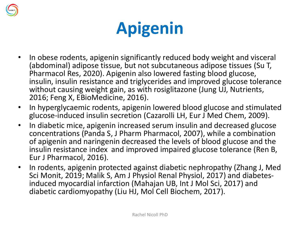

## **Apigenin**

- In obese rodents, apigenin significantly reduced body weight and visceral (abdominal) adipose tissue, but not subcutaneous adipose tissues (Su T, Pharmacol Res, 2020). Apigenin also lowered fasting blood glucose, insulin, insulin resistance and triglycerides and improved glucose tolerance without causing weight gain, as with rosiglitazone (Jung UJ, Nutrients, 2016; Feng X, EBioMedicine, 2016).
- In hyperglycaemic rodents, apigenin lowered blood glucose and stimulated glucose-induced insulin secretion (Cazarolli LH, Eur J Med Chem, 2009).
- In diabetic mice, apigenin increased serum insulin and decreased glucose concentrations (Panda S, J Pharm Pharmacol, 2007), while a combination of apigenin and naringenin decreased the levels of blood glucose and the insulin resistance index and improved impaired glucose tolerance (Ren B, Eur J Pharmacol, 2016).
- In rodents, apigenin protected against diabetic nephropathy (Zhang J, Med Sci Monit, 2019; Malik S, Am J Physiol Renal Physiol, 2017) and diabetesinduced myocardial infarction (Mahajan UB, Int J Mol Sci, 2017) and diabetic cardiomyopathy (Liu HJ, Mol Cell Biochem, 2017).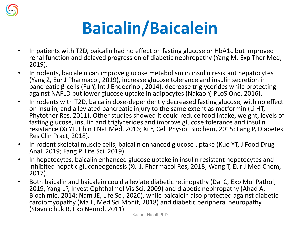

## **Baicalin/Baicalein**

- In patients with T2D, baicalin had no effect on fasting glucose or HbA1c but improved renal function and delayed progression of diabetic nephropathy (Yang M, Exp Ther Med, 2019).
- In rodents, baicalein can improve glucose metabolism in insulin resistant hepatocytes (Yang Z, Eur J Pharmacol, 2019), increase glucose tolerance and insulin secretion in pancreatic β-cells (Fu Y, Int J Endocrinol, 2014), decrease triglycerides while protecting against NAFLD but lower glucose uptake in adipocytes (Nakao Y, PLoS One, 2016).
- In rodents with T2D, baicalin dose-dependently decreased fasting glucose, with no effect on insulin, and alleviated pancreatic injury to the same extent as metformin (Li HT, Phytother Res, 2011). Other studies showed it could reduce food intake, weight, levels of fasting glucose, insulin and triglycerides and improve glucose tolerance and insulin resistance (Xi YL, Chin J Nat Med, 2016; Xi Y, Cell Physiol Biochem, 2015; Fang P, Diabetes Res Clin Pract, 2018).
- In rodent skeletal muscle cells, baicalin enhanced glucose uptake (Kuo YT, J Food Drug Anal, 2019; Fang P, Life Sci, 2019).
- In hepatocytes, baicalin enhanced glucose uptake in insulin resistant hepatocytes and inhibited hepatic gluconeogenesis (Xu J, Pharmacol Res, 2018; Wang T, Eur J Med Chem, 2017).
- Both baicalin and baicalein could alleviate diabetic retinopathy (Dai C, Exp Mol Pathol, 2019; Yang LP, Invest Ophthalmol Vis Sci, 2009) and diabetic nephropathy (Ahad A, Biochimie, 2014; Nam JE, Life Sci, 2020), while baicalein also protected against diabetic cardiomyopathy (Ma L, Med Sci Monit, 2018) and diabetic peripheral neuropathy (Stavniichuk R, Exp Neurol, 2011).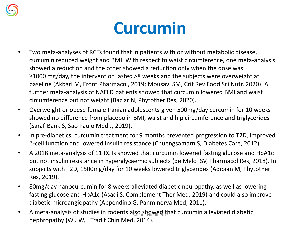

## **Curcumin**

- Two meta-analyses of RCTs found that in patients with or without metabolic disease, curcumin reduced weight and BMI. With respect to waist circumference, one meta-analysis showed a reduction and the other showed a reduction only when the dose was ≥1000 mg/day, the intervention lasted >8 weeks and the subjects were overweight at baseline (Akbari M, Front Pharmacol, 2019; Mousavi SM, Crit Rev Food Sci Nutr, 2020). A further meta-analysis of NAFLD patients showed that curcumin lowered BMI and waist circumference but not weight (Baziar N, Phytother Res, 2020).
- Overweight or obese female Iranian adolescents given 500mg/day curcumin for 10 weeks showed no difference from placebo in BMI, waist and hip circumference and triglycerides (Saraf-Bank S, Sao Paulo Med J, 2019).
- In pre-diabetics, curcumin treatment for 9 months prevented progression to T2D, improved β-cell function and lowered insulin resistance (Chuengsamarn S, Diabetes Care, 2012).
- A 2018 meta-analysis of 11 RCTs showed that curcumin lowered fasting glucose and HbA1c but not insulin resistance in hyperglycaemic subjects (de Melo ISV, Pharmacol Res, 2018). In subjects with T2D, 1500mg/day for 10 weeks lowered triglycerides (Adibian M, Phytother Res, 2019).
- 80mg/day nanocurcumin for 8 weeks alleviated diabetic neuropathy, as well as lowering fasting glucose and HbA1c (Asadi S, Complement Ther Med, 2019) and could also improve diabetic microangiopathy (Appendino G, Panminerva Med, 2011).
- A meta-analysis of studies in rodents also showed that curcumin alleviated diabetic nephropathy (Wu W, J Tradit Chin Med, 2014).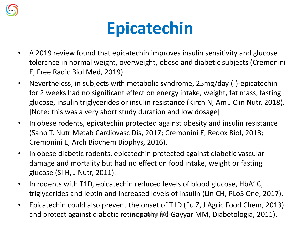

## **Epicatechin**

- A 2019 review found that epicatechin improves insulin sensitivity and glucose tolerance in normal weight, overweight, obese and diabetic subjects (Cremonini E, Free Radic Biol Med, 2019).
- Nevertheless, in subjects with metabolic syndrome, 25mg/day (-)-epicatechin for 2 weeks had no significant effect on energy intake, weight, fat mass, fasting glucose, insulin triglycerides or insulin resistance (Kirch N, Am J Clin Nutr, 2018). [Note: this was a very short study duration and low dosage]
- In obese rodents, epicatechin protected against obesity and insulin resistance (Sano T, Nutr Metab Cardiovasc Dis, 2017; Cremonini E, Redox Biol, 2018; Cremonini E, Arch Biochem Biophys, 2016).
- In obese diabetic rodents, epicatechin protected against diabetic vascular damage and mortality but had no effect on food intake, weight or fasting glucose (Si H, J Nutr, 2011).
- In rodents with T1D, epicatechin reduced levels of blood glucose, HbA1C, triglycerides and leptin and increased levels of insulin (Lin CH, PLoS One, 2017).
- Epicatechin could also prevent the onset of T1D (Fu Z, J Agric Food Chem, 2013) and protect against diabetic retinopathy (Al-Gayyar MM, Diabetologia, 2011).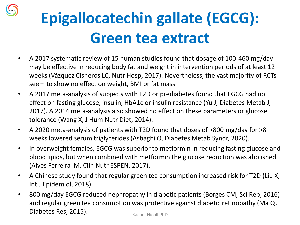

## **Epigallocatechin gallate (EGCG): Green tea extract**

- A 2017 systematic review of 15 human studies found that dosage of 100-460 mg/day may be effective in reducing body fat and weight in intervention periods of at least 12 weeks (Vázquez Cisneros LC, Nutr Hosp, 2017). Nevertheless, the vast majority of RCTs seem to show no effect on weight, BMI or fat mass.
- A 2017 meta-analysis of subjects with T2D or prediabetes found that EGCG had no effect on fasting glucose, insulin, HbA1c or insulin resistance (Yu J, Diabetes Metab J, 2017). A 2014 meta-analysis also showed no effect on these parameters or glucose tolerance (Wang X, J Hum Nutr Diet, 2014).
- A 2020 meta-analysis of patients with T2D found that doses of >800 mg/day for >8 weeks lowered serum triglycerides (Asbaghi O, Diabetes Metab Syndr, 2020).
- In overweight females, EGCG was superior to metformin in reducing fasting glucose and blood lipids, but when combined with metformin the glucose reduction was abolished (Alves Ferreira M, Clin Nutr ESPEN, 2017).
- A Chinese study found that regular green tea consumption increased risk for T2D (Liu X, Int J Epidemiol, 2018).
- 800 mg/day EGCG reduced nephropathy in diabetic patients (Borges CM, Sci Rep, 2016) and regular green tea consumption was protective against diabetic retinopathy (Ma Q, J Diabetes Res, 2015). Rachel Nicoll PhD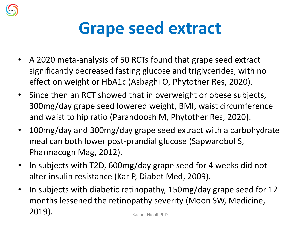

## **Grape seed extract**

- A 2020 meta-analysis of 50 RCTs found that grape seed extract significantly decreased fasting glucose and triglycerides, with no effect on weight or HbA1c (Asbaghi O, Phytother Res, 2020).
- Since then an RCT showed that in overweight or obese subjects, 300mg/day grape seed lowered weight, BMI, waist circumference and waist to hip ratio (Parandoosh M, Phytother Res, 2020).
- 100mg/day and 300mg/day grape seed extract with a carbohydrate meal can both lower post-prandial glucose (Sapwarobol S, Pharmacogn Mag, 2012).
- In subjects with T2D, 600mg/day grape seed for 4 weeks did not alter insulin resistance (Kar P, Diabet Med, 2009).
- In subjects with diabetic retinopathy, 150mg/day grape seed for 12 months lessened the retinopathy severity (Moon SW, Medicine, 2019). Rachel Nicoll PhD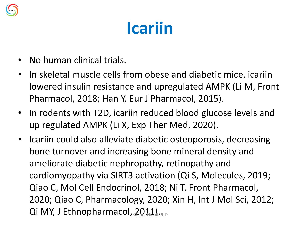

## **Icariin**

- No human clinical trials.
- In skeletal muscle cells from obese and diabetic mice, icariin lowered insulin resistance and upregulated AMPK (Li M, Front Pharmacol, 2018; Han Y, Eur J Pharmacol, 2015).
- In rodents with T2D, icariin reduced blood glucose levels and up regulated AMPK (Li X, Exp Ther Med, 2020).
- Icariin could also alleviate diabetic osteoporosis, decreasing bone turnover and increasing bone mineral density and ameliorate diabetic nephropathy, retinopathy and cardiomyopathy via SIRT3 activation (Qi S, Molecules, 2019; Qiao C, Mol Cell Endocrinol, 2018; Ni T, Front Pharmacol, 2020; Qiao C, Pharmacology, 2020; Xin H, Int J Mol Sci, 2012; Qi MY, J Ethnopharmacol,  $2011$ ,  $R_{\text{PhD}}$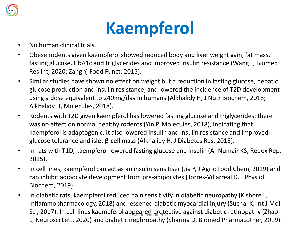

## **Kaempferol**

- No human clinical trials.
- Obese rodents given kaempferol showed reduced body and liver weight gain, fat mass, fasting glucose, HbA1c and triglycerides and improved insulin resistance (Wang T, Biomed Res Int, 2020; Zang Y, Food Funct, 2015).
- Similar studies have shown no effect on weight but a reduction in fasting glucose, hepatic glucose production and insulin resistance, and lowered the incidence of T2D development using a dose equivalent to 240mg/day in humans (Alkhalidy H, J Nutr Biochem, 2018; Alkhalidy H, Molecules, 2018).
- Rodents with T2D given kaempferol has lowered fasting glucose and triglycerides; there was no effect on normal healthy rodents (Yin P, Molecules, 2018), indicating that kaempferol is adaptogenic. It also lowered insulin and insulin resistance and improved glucose tolerance and islet β-cell mass (Alkhalidy H, J Diabetes Res, 2015).
- In rats with T1D, kaempferol lowered fasting glucose and insulin (Al-Numair KS, Redox Rep, 2015).
- In cell lines, kaempferol can act as an insulin sensitiser (Jia Y, J Agric Food Chem, 2019) and can inhibit adipocyte development from pre-adipocytes (Torres-Villarreal D, J Physiol Biochem, 2019).
- In diabetic rats, kaempferol reduced pain sensitivity in diabetic neuropathy (Kishore L, Inflammopharmacology, 2018) and lessened diabetic myocardial injury (Suchal K, Int J Mol Sci, 2017). In cell lines kaempferol appeared protective against diabetic retinopathy (Zhao L, Neurosci Lett, 2020) and diabetic nephropathy (Sharma D, Biomed Pharmacother, 2019).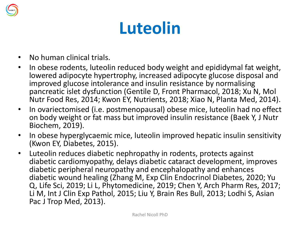

## **Luteolin**

- No human clinical trials.
- In obese rodents, luteolin reduced body weight and epididymal fat weight, lowered adipocyte hypertrophy, increased adipocyte glucose disposal and improved glucose intolerance and insulin resistance by normalising pancreatic islet dysfunction (Gentile D, Front Pharmacol, 2018; Xu N, Mol Nutr Food Res, 2014; Kwon EY, Nutrients, 2018; Xiao N, Planta Med, 2014).
- In ovariectomised (i.e. postmenopausal) obese mice, luteolin had no effect on body weight or fat mass but improved insulin resistance (Baek Y, J Nutr Biochem, 2019).
- In obese hyperglycaemic mice, luteolin improved hepatic insulin sensitivity (Kwon EY, Diabetes, 2015).
- Luteolin reduces diabetic nephropathy in rodents, protects against diabetic cardiomyopathy, delays diabetic cataract development, improves diabetic peripheral neuropathy and encephalopathy and enhances diabetic wound healing (Zhang M, Exp Clin Endocrinol Diabetes, 2020; Yu Q, Life Sci, 2019; Li L, Phytomedicine, 2019; Chen Y, Arch Pharm Res, 2017; Li M, Int J Clin Exp Pathol, 2015; Liu Y, Brain Res Bull, 2013; Lodhi S, Asian Pac J Trop Med, 2013).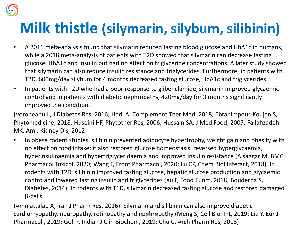

#### **Milk thistle (silymarin, silybum, silibinin)**

- A 2016 meta-analysis found that silymarin reduced fasting blood glucose and HbA1c in humans, while a 2018 meta-analysis of patients with T2D showed that silymarin can decrease fasting glucose, HbA1c and insulin but had no effect on triglyceride concentrations. A later study showed that silymarin can also reduce insulin resistance and triglycerides. Furthermore, in patients with T2D, 600mg/day silybum for 4 months decreased fasting glucose, HbA1c and triglycerides.
- In patients with T2D who had a poor response to glibenclamide, silymarin improved glycaemic control and in patients with diabetic nephropathy, 420mg/day for 3 months significantly improved the condition.

(Voroneanu L, J Diabetes Res, 2016; Hadi A, Complement Ther Med, 2018; Ebrahimpour-Koujan S, Phytomedicine, 2018; Huseini HF, Phytother Res, 2006; Hussain SA, J Med Food, 2007; Fallahzadeh MK, Am J Kidney Dis, 2012

• In obese rodent studies, silibinin prevented adipocyte hypertrophy, weight gain and obesity with no effect on food intake; it also restored glucose homeostasis, reversed hyperglycaemia, hyperinsulinaemia and hypertriglyceridaemia and improved insulin resistance (Alsaggar M, BMC Pharmacol Toxicol, 2020; Wang F, Front Pharmacol, 2020; Lu CP, Chem Biol Interact, 2018). In rodents with T2D, silibinin improved fasting glucose, hepatic glucose production and glycaemic contro and lowered fasting insulin and triglycerides (Xu F, Food Funct, 2018; Bouderba S, J Diabetes, 2014). In rodents with T1D, silymarin decreased fasting glucose and restored damaged β-cells.

(Amniattalab A, Iran J Pharm Res, 2016). Silymarin and silibinin can also improve diabetic cardiomyopathy, neuropathy, retinopathy and nephropathy (Meng S, Cell Biol Int, 2019; Liu Y, Eur J Pharmacol , 2019; Goli F, Indian J Clin Biochem, 2019; Chu C, Arch Pharm Res, 2018)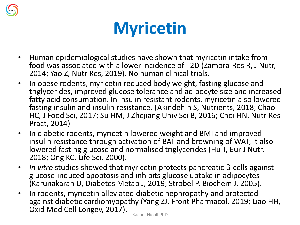

## **Myricetin**

- Human epidemiological studies have shown that myricetin intake from food was associated with a lower incidence of T2D (Zamora-Ros R, J Nutr, 2014; Yao Z, Nutr Res, 2019). No human clinical trials.
- In obese rodents, myricetin reduced body weight, fasting glucose and triglycerides, improved glucose tolerance and adipocyte size and increased fatty acid consumption. In insulin resistant rodents, myricetin also lowered fasting insulin and insulin resistance. (Akindehin S, Nutrients, 2018; Chao HC, J Food Sci, 2017; Su HM, J Zhejiang Univ Sci B, 2016; Choi HN, Nutr Res Pract, 2014)
- In diabetic rodents, myricetin lowered weight and BMI and improved insulin resistance through activation of BAT and browning of WAT; it also lowered fasting glucose and normalised triglycerides (Hu T, Eur J Nutr, 2018; Ong KC, Life Sci, 2000).
- *In vitro* studies showed that myricetin protects pancreatic β-cells against glucose-induced apoptosis and inhibits glucose uptake in adipocytes (Karunakaran U, Diabetes Metab J, 2019; Strobel P, Biochem J, 2005).
- In rodents, myricetin alleviated diabetic nephropathy and protected against diabetic cardiomyopathy (Yang ZJ, Front Pharmacol, 2019; Liao HH, Oxid Med Cell Longev, 2017). Rachel Nicoll PhD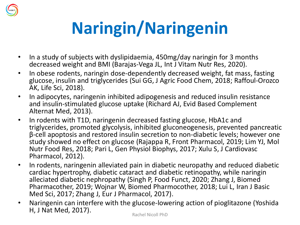

# **Naringin/Naringenin**

- In a study of subjects with dyslipidaemia, 450mg/day naringin for 3 months decreased weight and BMI (Barajas-Vega JL, Int J Vitam Nutr Res, 2020).
- In obese rodents, naringin dose-dependently decreased weight, fat mass, fasting glucose, insulin and triglycerides (Sui GG, J Agric Food Chem, 2018; Raffoul-Orozco AK, Life Sci, 2018).
- In adipocytes, naringenin inhibited adipogenesis and reduced insulin resistance and insulin-stimulated glucose uptake (Richard AJ, Evid Based Complement Alternat Med, 2013).
- In rodents with T1D, naringenin decreased fasting glucose, HbA1c and triglycerides, promoted glycolysis, inhibited gluconeogenesis, prevented pancreatic β-cell apoptosis and restored insulin secretion to non-diabetic levels; however one study showed no effect on glucose (Rajappa R, Front Pharmacol, 2019; Lim YJ, Mol Nutr Food Res, 2018; Pari L, Gen Physiol Biophys, 2017; Xulu S, J Cardiovasc Pharmacol, 2012).
- In rodents, naringenin alleviated pain in diabetic neuropathy and reduced diabetic cardiac hypertrophy, diabetic cataract and diabetic retinopathy, while naringin alleciated diabetic nephropathy (Singh P, Food Funct, 2020; Zhang J, Biomed Pharmacother, 2019; Wojnar W, Biomed Pharmocother, 2018; Lui L, Iran J Basic Med Sci, 2017; Zhang J, Eur J Pharmacol, 2017).
- Naringenin can interfere with the glucose-lowering action of pioglitazone (Yoshida H, J Nat Med, 2017).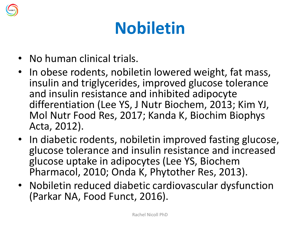

## **Nobiletin**

- No human clinical trials.
- In obese rodents, nobiletin lowered weight, fat mass, insulin and triglycerides, improved glucose tolerance and insulin resistance and inhibited adipocyte differentiation (Lee YS, J Nutr Biochem, 2013; Kim YJ, Mol Nutr Food Res, 2017; Kanda K, Biochim Biophys Acta, 2012).
- In diabetic rodents, nobiletin improved fasting glucose, glucose tolerance and insulin resistance and increased glucose uptake in adipocytes (Lee YS, Biochem Pharmacol, 2010; Onda K, Phytother Res, 2013).
- Nobiletin reduced diabetic cardiovascular dysfunction (Parkar NA, Food Funct, 2016).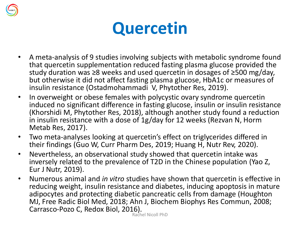

## **Quercetin**

- A meta-analysis of 9 studies involving subjects with metabolic syndrome found that quercetin supplementation reduced fasting plasma glucose provided the study duration was ≥8 weeks and used quercetin in dosages of ≥500 mg/day, but otherwise it did not affect fasting plasma glucose, HbA1c or measures of insulin resistance (Ostadmohammadi V, Phytother Res, 2019).
- In overweight or obese females with polycystic ovary syndrome quercetin induced no significant difference in fasting glucose, insulin or insulin resistance (Khorshidi M, Phytother Res, 2018), although another study found a reduction in insulin resistance with a dose of 1g/day for 12 weeks (Rezvan N, Horm Metab Res, 2017).
- Two meta-analyses looking at quercetin's effect on triglycerides differed in their findings (Guo W, Curr Pharm Des, 2019; Huang H, Nutr Rev, 2020).
- Nevertheless, an observational study showed that quercetin intake was inversely related to the prevalence of T2D in the Chinese population (Yao Z, Eur J Nutr, 2019).
- Numerous animal and *in vitro* studies have shown that quercetin is effective in reducing weight, insulin resistance and diabetes, inducing apoptosis in mature adipocytes and protecting diabetic pancreatic cells from damage (Houghton MJ, Free Radic Biol Med, 2018; Ahn J, Biochem Biophys Res Commun, 2008; Carrasco-Pozo C, Redox Biol, 2016).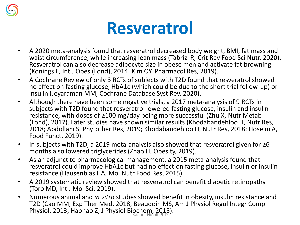

### **Resveratrol**

- A 2020 meta-analysis found that resveratrol decreased body weight, BMI, fat mass and waist circumference, while increasing lean mass (Tabrizi R, Crit Rev Food Sci Nutr, 2020). Resveratrol can also decrease adipocyte size in obese men and activate fat browning (Konings E, Int J Obes (Lond), 2014; Kim OY, Pharmacol Res, 2019).
- A Cochrane Review of only 3 RCTs of subjects with T2D found that resveratrol showed no effect on fasting glucose, HbA1c (which could be due to the short trial follow-up) or insulin (Jeyaraman MM, Cochrane Database Syst Rev, 2020).
- Although there have been some negative trials, a 2017 meta-analysis of 9 RCTs in subjects with T2D found that resveratrol lowered fasting glucose, insulin and insulin resistance, with doses of ≥100 mg/day being more successful (Zhu X, Nutr Metab (Lond), 2017). Later studies have shown similar results (Khodabandehloo H, Nutr Res, 2018; Abdollahi S, Phytother Res, 2019; Khodabandehloo H, Nutr Res, 2018; Hoseini A, Food Funct, 2019).
- In subjects with T2D, a 2019 meta-analysis also showed that resveratrol given for ≥6 months also lowered triglycerides (Zhao H, Obesity, 2019).
- As an adjunct to pharmacological management, a 2015 meta-analysis found that resveratrol could improve HbA1c but had no effect on fasting glucose, insulin or insulin resistance (Hausenblas HA, Mol Nutr Food Res, 2015).
- A 2019 systematic review showed that resveratrol can benefit diabetic retinopathy (Toro MD, Int J Mol Sci, 2019).
- Numerous animal and *in vitro* studies showed benefit in obesity, insulin resistance and T2D (Cao MM, Exp Ther Med, 2018; Beaudoin MS, Am J Physiol Regul Integr Comp Physiol, 2013; Haohao Z, J Physiol Biochem, 2015).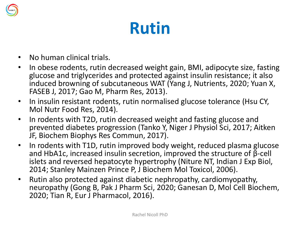

## **Rutin**

- No human clinical trials.
- In obese rodents, rutin decreased weight gain, BMI, adipocyte size, fasting glucose and triglycerides and protected against insulin resistance; it also induced browning of subcutaneous WAT (Yang J, Nutrients, 2020; Yuan X, FASEB J, 2017; Gao M, Pharm Res, 2013).
- In insulin resistant rodents, rutin normalised glucose tolerance (Hsu CY, Mol Nutr Food Res, 2014).
- In rodents with T2D, rutin decreased weight and fasting glucose and prevented diabetes progression (Tanko Y, Niger J Physiol Sci, 2017; Aitken JF, Biochem Biophys Res Commun, 2017).
- In rodents with T1D, rutin improved body weight, reduced plasma glucose and HbA1c, increased insulin secretion, improved the structure of β-cell islets and reversed hepatocyte hypertrophy (Niture NT, Indian J Exp Biol, 2014; Stanley Mainzen Prince P, J Biochem Mol Toxicol, 2006).
- Rutin also protected against diabetic nephropathy, cardiomyopathy, neuropathy (Gong B, Pak J Pharm Sci, 2020; Ganesan D, Mol Cell Biochem, 2020; Tian R, Eur J Pharmacol, 2016).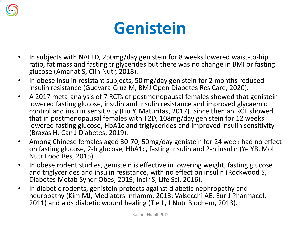

## **Genistein**

- In subjects with NAFLD, 250mg/day genistein for 8 weeks lowered waist-to-hip ratio, fat mass and fasting triglycerides but there was no change in BMI or fasting glucose (Amanat S, Clin Nutr, 2018).
- In obese insulin resistant subjects, 50 mg/day genistein for 2 months reduced insulin resistance (Guevara-Cruz M, BMJ Open Diabetes Res Care, 2020).
- A 2017 meta-analysis of 7 RCTs of postmenopausal females showed that genistein lowered fasting glucose, insulin and insulin resistance and improved glycaemic control and insulin sensitivity (Liu Y, Maturitas, 2017). Since then an RCT showed that in postmenopausal females with T2D, 108mg/day genistein for 12 weeks lowered fasting glucose, HbA1c and triglycerides and improved insulin sensitivity (Braxas H, Can J Diabetes, 2019).
- Among Chinese females aged 30-70, 50mg/day genistein for 24 week had no effect on fasting glucose, 2-h glucose, HbA1c, fasting insulin and 2-h insulin (Ye YB, Mol Nutr Food Res, 2015).
- In obese rodent studies, genistein is effective in lowering weight, fasting glucose and triglycerides and insulin resistance, with no effect on insulin (Rockwood S, Diabetes Metab Syndr Obes, 2019; Incir S, Life Sci, 2016).
- In diabetic rodents, genistein protects against diabetic nephropathy and neuropathy (Kim MJ, Mediators Inflamm, 2013; Valsecchi AE, Eur J Pharmacol, 2011) and aids diabetic wound healing (Tie L, J Nutr Biochem, 2013).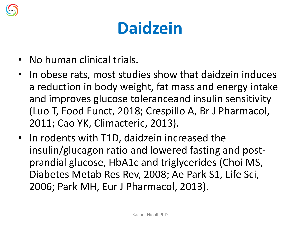

## **Daidzein**

- No human clinical trials.
- In obese rats, most studies show that daidzein induces a reduction in body weight, fat mass and energy intake and improves glucose toleranceand insulin sensitivity (Luo T, Food Funct, 2018; Crespillo A, Br J Pharmacol, 2011; Cao YK, Climacteric, 2013).
- In rodents with T1D, daidzein increased the insulin/glucagon ratio and lowered fasting and postprandial glucose, HbA1c and triglycerides (Choi MS, Diabetes Metab Res Rev, 2008; Ae Park S1, Life Sci, 2006; Park MH, Eur J Pharmacol, 2013).